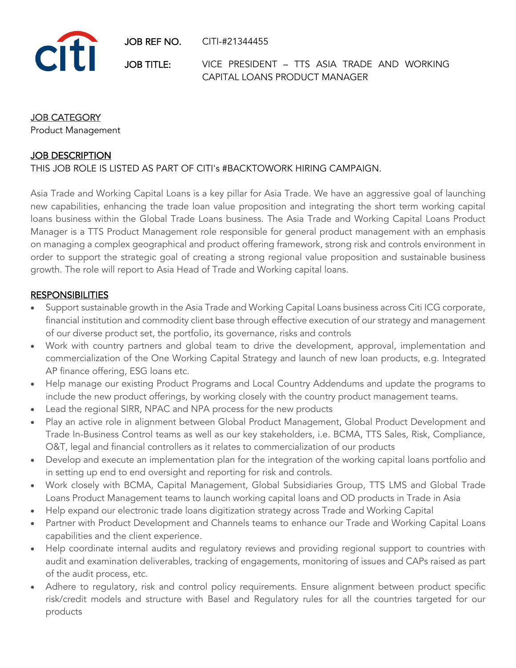JOB REF NO. CITI-#21344455



JOB TITLE: VICE PRESIDENT – TTS ASIA TRADE AND WORKING CAPITAL LOANS PRODUCT MANAGER

#### JOB CATEGORY

Product Management

#### **JOB DESCRIPTION**

#### THIS JOB ROLE IS LISTED AS PART OF CITI's #BACKTOWORK HIRING CAMPAIGN.

Asia Trade and Working Capital Loans is a key pillar for Asia Trade. We have an aggressive goal of launching new capabilities, enhancing the trade loan value proposition and integrating the short term working capital loans business within the Global Trade Loans business. The Asia Trade and Working Capital Loans Product Manager is a TTS Product Management role responsible for general product management with an emphasis on managing a complex geographical and product offering framework, strong risk and controls environment in order to support the strategic goal of creating a strong regional value proposition and sustainable business growth. The role will report to Asia Head of Trade and Working capital loans.

#### **RESPONSIBILITIES**

- Support sustainable growth in the Asia Trade and Working Capital Loans business across Citi ICG corporate, financial institution and commodity client base through effective execution of our strategy and management of our diverse product set, the portfolio, its governance, risks and controls
- Work with country partners and global team to drive the development, approval, implementation and commercialization of the One Working Capital Strategy and launch of new loan products, e.g. Integrated AP finance offering, ESG loans etc.
- Help manage our existing Product Programs and Local Country Addendums and update the programs to include the new product offerings, by working closely with the country product management teams.
- Lead the regional SIRR, NPAC and NPA process for the new products
- Play an active role in alignment between Global Product Management, Global Product Development and Trade In-Business Control teams as well as our key stakeholders, i.e. BCMA, TTS Sales, Risk, Compliance, O&T, legal and financial controllers as it relates to commercialization of our products
- Develop and execute an implementation plan for the integration of the working capital loans portfolio and in setting up end to end oversight and reporting for risk and controls.
- Work closely with BCMA, Capital Management, Global Subsidiaries Group, TTS LMS and Global Trade Loans Product Management teams to launch working capital loans and OD products in Trade in Asia
- Help expand our electronic trade loans digitization strategy across Trade and Working Capital
- Partner with Product Development and Channels teams to enhance our Trade and Working Capital Loans capabilities and the client experience.
- Help coordinate internal audits and regulatory reviews and providing regional support to countries with audit and examination deliverables, tracking of engagements, monitoring of issues and CAPs raised as part of the audit process, etc.
- Adhere to regulatory, risk and control policy requirements. Ensure alignment between product specific risk/credit models and structure with Basel and Regulatory rules for all the countries targeted for our products